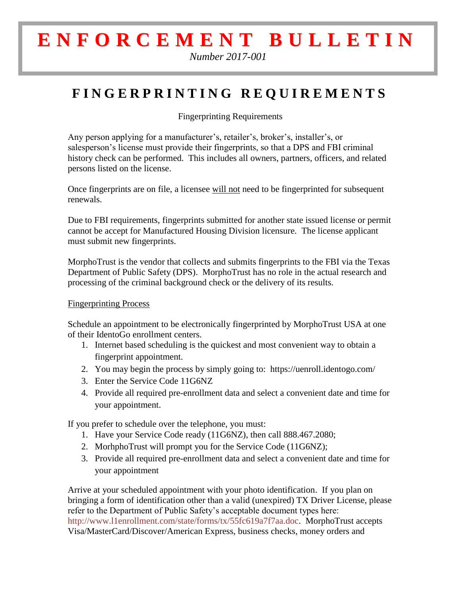## **E N F O R C E M E N T B U L L E T I N**

*Number 2017-001*

## **F I N G E R P R I N T I N G R E Q U I R E M E N T S**

Fingerprinting Requirements

Any person applying for a manufacturer's, retailer's, broker's, installer's, or salesperson's license must provide their fingerprints, so that a DPS and FBI criminal history check can be performed. This includes all owners, partners, officers, and related persons listed on the license.

Once fingerprints are on file, a licensee will not need to be fingerprinted for subsequent renewals.

Due to FBI requirements, fingerprints submitted for another state issued license or permit cannot be accept for Manufactured Housing Division licensure. The license applicant must submit new fingerprints.

MorphoTrust is the vendor that collects and submits fingerprints to the FBI via the Texas Department of Public Safety (DPS). MorphoTrust has no role in the actual research and processing of the criminal background check or the delivery of its results.

## Fingerprinting Process

Schedule an appointment to be electronically fingerprinted by MorphoTrust USA at one of their IdentoGo enrollment centers.

- 1. Internet based scheduling is the quickest and most convenient way to obtain a fingerprint appointment.
- 2. You may begin the process by simply going to: https://uenroll.identogo.com/
- 3. Enter the Service Code 11G6NZ
- 4. Provide all required pre-enrollment data and select a convenient date and time for your appointment.

If you prefer to schedule over the telephone, you must:

- 1. Have your Service Code ready (11G6NZ), then call 888.467.2080;
- 2. MorhphoTrust will prompt you for the Service Code (11G6NZ);
- 3. Provide all required pre-enrollment data and select a convenient date and time for your appointment

Arrive at your scheduled appointment with your photo identification. If you plan on bringing a form of identification other than a valid (unexpired) TX Driver License, please refer to the Department of Public Safety's acceptable document types here: [http://www.l1enrollment.com/state/forms/tx/55fc619a7f7aa.doc.](http://www.l1enrollment.com/state/forms/tx/55fc619a7f7aa.doc) MorphoTrust accepts Visa/MasterCard/Discover/American Express, business checks, money orders and